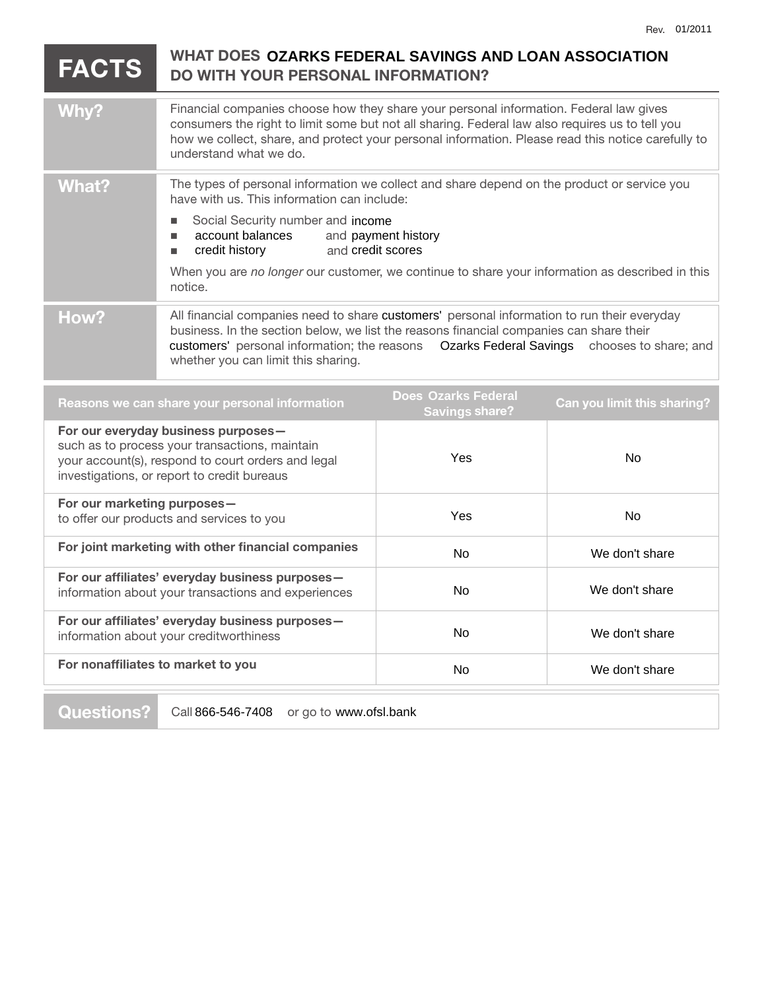## **FACTS DO WITH YOUR PERSONAL INFORMATION? Why?** Financial companies choose how they share your personal information. Federal law gives consumers the right to limit some but not all sharing. Federal law also requires us to tell you how we collect, share, and protect your personal information. Please read this notice carefully to understand what we do. What? The types of personal information we collect and share depend on the product or service you have with us. This information can include: Social Security number and income account balances **nedit history** When you are *no longer* our customer, we continue to share your information as described in this notice. How? All financial companies need to share customers' personal information to run their everyday business. In the section below, we list the reasons financial companies can share their customers' personal information; the reasons Ozarks Federal Savings chooses to share; and whether you can limit this sharing. **Reasons we can share your personal information Does**  WHAT DOES OZARKS FEDERAL SAVINGS AND LOAN ASSOCIATION and payment history and credit scores **Does Ozarks Federal**

| Reasons we can share your personal information                                                                                                                                             | 2000 CASINO I COCIGI<br><b>Savings share?</b> | Can you limit this sharing? |
|--------------------------------------------------------------------------------------------------------------------------------------------------------------------------------------------|-----------------------------------------------|-----------------------------|
| For our everyday business purposes-<br>such as to process your transactions, maintain<br>your account(s), respond to court orders and legal<br>investigations, or report to credit bureaus | Yes                                           | No.                         |
| For our marketing purposes-<br>to offer our products and services to you                                                                                                                   | Yes                                           | No.                         |
| For joint marketing with other financial companies                                                                                                                                         | <b>No</b>                                     | We don't share              |
| For our affiliates' everyday business purposes-<br>information about your transactions and experiences                                                                                     | No.                                           | We don't share              |
| For our affiliates' everyday business purposes-<br>information about your creditworthiness                                                                                                 | <b>No</b>                                     | We don't share              |
| For nonaffiliates to market to you                                                                                                                                                         | <b>No</b>                                     | We don't share              |
|                                                                                                                                                                                            |                                               |                             |

**Questions?** Call 866-546-7408 or go to www.ofsl.bank